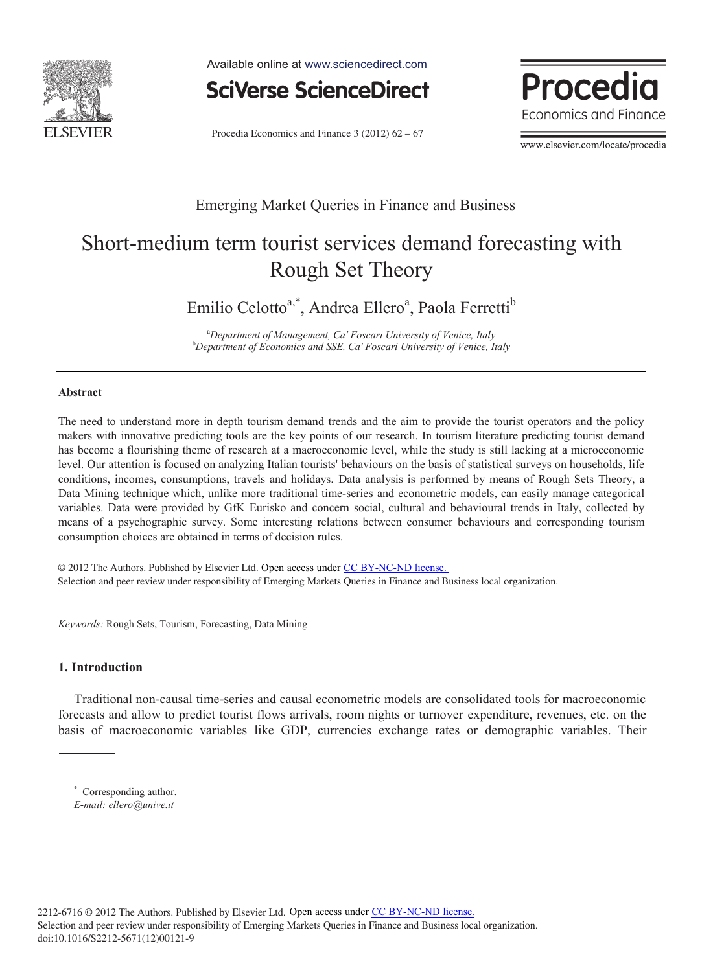

Available online at www.sciencedirect.com



Procedia Economics and Finance  $3(2012)$   $62 - 67$ 



www.elsevier.com/locate/procedia

## Emerging Market Queries in Finance and Business

# Short-medium term tourist services demand forecasting with Rough Set Theory

Emilio Celotto<sup>a,\*</sup>, Andrea Ellero<sup>a</sup>, Paola Ferretti<sup>b</sup>

a *Department of Management, Ca' Foscari University of Venice, Italy* b *Department of Economics and SSE, Ca' Foscari University of Venice, Italy*

### **Abstract**

The need to understand more in depth tourism demand trends and the aim to provide the tourist operators and the policy makers with innovative predicting tools are the key points of our research. In tourism literature predicting tourist demand has become a flourishing theme of research at a macroeconomic level, while the study is still lacking at a microeconomic level. Our attention is focused on analyzing Italian tourists' behaviours on the basis of statistical surveys on households, life conditions, incomes, consumptions, travels and holidays. Data analysis is performed by means of Rough Sets Theory, a Data Mining technique which, unlike more traditional time-series and econometric models, can easily manage categorical variables. Data were provided by GfK Eurisko and concern social, cultural and behavioural trends in Italy, collected by means of a psychographic survey. Some interesting relations between consumer behaviours and corresponding tourism consumption choices are obtained in terms of decision rules.

© 2012 The Authors. Published by Elsevier Ltd. Open access under CC BY-NC-ND license. Selection and peer review under responsibility of Emerging Markets Queries in Finance and Business local organization.

*Keywords:* Rough Sets, Tourism, Forecasting, Data Mining

### **1. Introduction**

Traditional non-causal time-series and causal econometric models are consolidated tools for macroeconomic forecasts and allow to predict tourist flows arrivals, room nights or turnover expenditure, revenues, etc. on the basis of macroeconomic variables like GDP, currencies exchange rates or demographic variables. Their

\* Corresponding author. *E-mail: ellero@unive.it*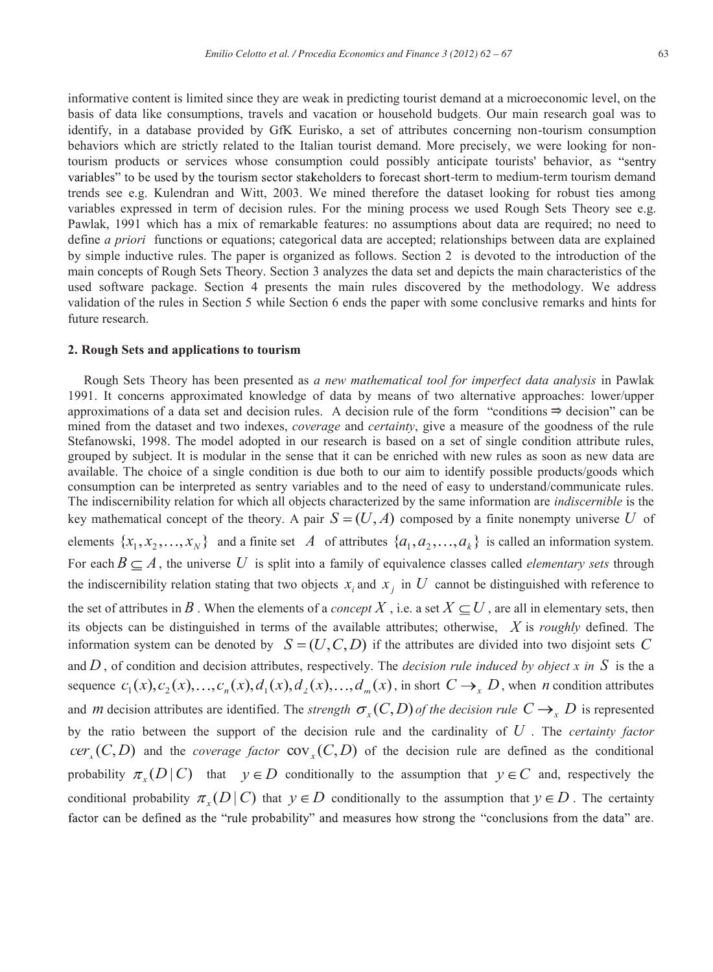informative content is limited since they are weak in predicting tourist demand at a microeconomic level, on the basis of data like consumptions, travels and vacation or household budgets. Our main research goal was to identify, in a database provided by GfK Eurisko, a set of attributes concerning non-tourism consumption behaviors which are strictly related to the Italian tourist demand. More precisely, we were looking for nontourism products or services whose consumption could possibly anticipate tourists' behavior, as variables" to be used by the tourism sector stakeholders to forecast short-term to medium-term tourism demand trends see e.g. Kulendran and Witt, 2003. We mined therefore the dataset looking for robust ties among variables expressed in term of decision rules. For the mining process we used Rough Sets Theory see e.g. Pawlak, 1991 which has a mix of remarkable features: no assumptions about data are required; no need to define *a priori* functions or equations; categorical data are accepted; relationships between data are explained by simple inductive rules. The paper is organized as follows. Section 2 is devoted to the introduction of the main concepts of Rough Sets Theory. Section 3 analyzes the data set and depicts the main characteristics of the used software package. Section 4 presents the main rules discovered by the methodology. We address validation of the rules in Section 5 while Section 6 ends the paper with some conclusive remarks and hints for future research.

#### **2. Rough Sets and applications to tourism**

Rough Sets Theory has been presented as *a new mathematical tool for imperfect data analysis* in Pawlak 1991. It concerns approximated knowledge of data by means of two alternative approaches: lower/upper approximations of a data set and decision rules. A decision rule of the form "conditions  $\Rightarrow$  decision" can be mined from the dataset and two indexes, *coverage* and *certainty*, give a measure of the goodness of the rule Stefanowski, 1998. The model adopted in our research is based on a set of single condition attribute rules, grouped by subject. It is modular in the sense that it can be enriched with new rules as soon as new data are available. The choice of a single condition is due both to our aim to identify possible products/goods which consumption can be interpreted as sentry variables and to the need of easy to understand/communicate rules. The indiscernibility relation for which all objects characterized by the same information are *indiscernible* is the key mathematical concept of the theory. A pair  $S = (U, A)$  composed by a finite nonempty universe U of elements  $\{x_1, x_2, \ldots, x_N\}$  and a finite set *A* of attributes  $\{a_1, a_2, \ldots, a_k\}$  is called an information system. For each  $B \subseteq A$ , the universe U is split into a family of equivalence classes called *elementary sets* through the indiscernibility relation stating that two objects  $x_i$  and  $x_j$  in  $U$  cannot be distinguished with reference to the set of attributes in B. When the elements of a *concept* X, i.e. a set  $X \subset U$ , are all in elementary sets, then its objects can be distinguished in terms of the available attributes; otherwise, *X* is *roughly* defined. The information system can be denoted by  $S = (U, C, D)$  if the attributes are divided into two disjoint sets C and  $D$ , of condition and decision attributes, respectively. The *decision rule induced by object x in*  $S$  is the a sequence  $c_1(x), c_2(x), \ldots, c_n(x), d_1(x), d_2(x), \ldots, d_m(x)$ , in short  $C \rightarrow X D$ , when *n* condition attributes and *m* decision attributes are identified. The *strength*  $\sigma_r(C,D)$  *of the decision rule*  $C \rightarrow_r D$  is represented by the ratio between the support of the decision rule and the cardinality of *U* . The *certainty factor*  $cer_r(C,D)$  and the *coverage factor*  $cov_r(C,D)$  of the decision rule are defined as the conditional probability  $\pi_r(D | C)$  that  $y \in D$  conditionally to the assumption that  $y \in C$  and, respectively the conditional probability  $\pi_r(D | C)$  that  $y \in D$  conditionally to the assumption that  $y \in D$ . The certainty factor can be defined as the "rule probability" and measures how strong the "conclusions from the data" are.